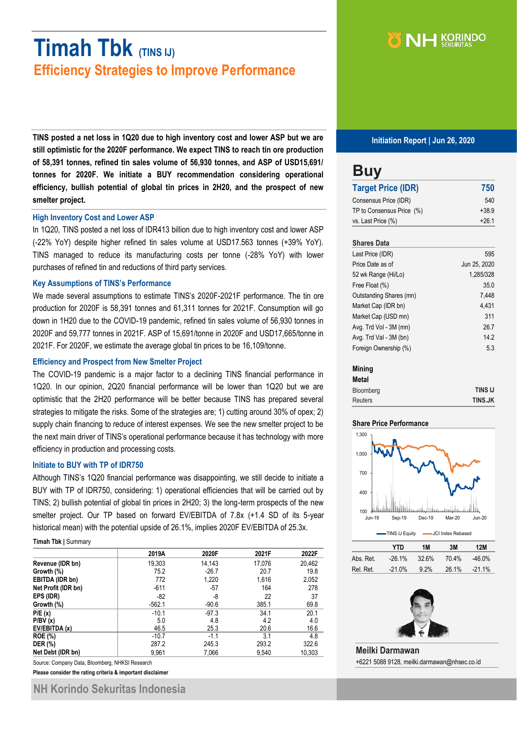# **Timah Tbk (TINS IJ) Efficiency Strategies to Improve Performance**

**TINS posted a net loss in 1Q20 due to high inventory cost and lower ASP but we are still optimistic for the 2020F performance. We expect TINS to reach tin ore production of 58,391 tonnes, refined tin sales volume of 56,930 tonnes, and ASP of USD15,691/ tonnes for 2020F. We initiate a BUY recommendation considering operational efficiency, bullish potential of global tin prices in 2H20, and the prospect of new smelter project.**

#### **High Inventory Cost and Lower ASP**

In 1Q20, TINS posted a net loss of IDR413 billion due to high inventory cost and lower ASP (-22% YoY) despite higher refined tin sales volume at USD17.563 tonnes (+39% YoY). TINS managed to reduce its manufacturing costs per tonne (-28% YoY) with lower purchases of refined tin and reductions of third party services.

### **Key Assumptions of TINS's Performance**

We made several assumptions to estimate TINS's 2020F-2021F performance. The tin ore production for 2020F is 58,391 tonnes and 61,311 tonnes for 2021F. Consumption will go down in 1H20 due to the COVID-19 pandemic, refined tin sales volume of 56,930 tonnes in 2020F and 59,777 tonnes in 2021F. ASP of 15,691/tonne in 2020F and USD17,665/tonne in 2021F. For 2020F, we estimate the average global tin prices to be 16,109/tonne.

### **Efficiency and Prospect from New Smelter Project**

The COVID-19 pandemic is a major factor to a declining TINS financial performance in 1Q20. In our opinion, 2Q20 financial performance will be lower than 1Q20 but we are optimistic that the 2H20 performance will be better because TINS has prepared several strategies to mitigate the risks. Some of the strategies are; 1) cutting around 30% of opex; 2) supply chain financing to reduce of interest expenses. We see the new smelter project to be the next main driver of TINS's operational performance because it has technology with more efficiency in production and processing costs.

#### **Initiate to BUY with TP of IDR750**

Although TINS's 1Q20 financial performance was disappointing, we still decide to initiate a BUY with TP of IDR750, considering: 1) operational efficiencies that will be carried out by TINS; 2) bullish potential of global tin prices in 2H20; 3) the long-term prospects of the new smelter project. Our TP based on forward EV/EBITDA of 7.8x (+1.4 SD of its 5-year historical mean) with the potential upside of 26.1%, implies 2020F EV/EBITDA of 25.3x.

#### **Timah Tbk |** Summary

|                     | 2019A    | 2020F   | 2021F  | 2022F  |
|---------------------|----------|---------|--------|--------|
| Revenue (IDR bn)    | 19,303   | 14,143  | 17,076 | 20,462 |
| Growth (%)          | 75.2     | $-26.7$ | 20.7   | 19.8   |
| EBITDA (IDR bn)     | 772      | 1,220   | 1,616  | 2,052  |
| Net Profit (IDR bn) | $-611$   | -57     | 164    | 278    |
| EPS (IDR)           | -82      | -8      | 22     | 37     |
| Growth (%)          | $-562.1$ | $-90.6$ | 385.1  | 69.8   |
| P/E(x)              | $-10.1$  | $-97.3$ | 34.1   | 20.1   |
| P/BV(x)             | 5.0      | 4.8     | 4.2    | 4.0    |
| EV/EBITDA (x)       | 46.5     | 25.3    | 20.6   | 16.6   |
| <b>ROE</b> (%)      | $-10.7$  | $-1.1$  | 3.1    | 4.8    |
| <b>DER (%)</b>      | 287.2    | 245.3   | 293.2  | 322.6  |
| Net Debt (IDR bn)   | 9,961    | 7,066   | 9,540  | 10,303 |

Source: Company Data, Bloomberg, NHKSI Research

**Please consider the rating criteria & important disclaimer**



**Initiation Report | Jun 26, 2020**

### **Buy Target Price (IDR) 750** Consensus Price (IDR) 540 TP to Consensus Price (%)  $+38.9$ vs. Last Price  $(\%)$   $+26.1$

### **Shares Data**

| Last Price (IDR)        | 595          |
|-------------------------|--------------|
| Price Date as of        | Jun 25, 2020 |
| 52 wk Range (Hi/Lo)     | 1,285/328    |
| Free Float (%)          | 35.0         |
| Outstanding Shares (mn) | 7,448        |
| Market Cap (IDR bn)     | 4.431        |
| Market Cap (USD mn)     | 311          |
| Avg. Trd Vol - 3M (mn)  | 26.7         |
| Avg. Trd Val - 3M (bn)  | 14.2         |
| Foreign Ownership (%)   | 5.3          |

### **Mining**

| <b>Metal</b>   |                |
|----------------|----------------|
| Bloomberg      | <b>TINS IJ</b> |
| <b>Reuters</b> | <b>TINS.JK</b> |

#### **Share Price Performance**



|           | YTN      | 1M   | 3M    | 12M      |
|-----------|----------|------|-------|----------|
| Abs. Ret. | $-26.1%$ | 326% | 70.4% | -46.0%   |
| Rel. Ret. | $-21.0%$ | 92%  | 26.1% | $-21.1%$ |



**Meilki Darmawan** +6221 5088 9128, meilki.darmawan@nhsec.co.id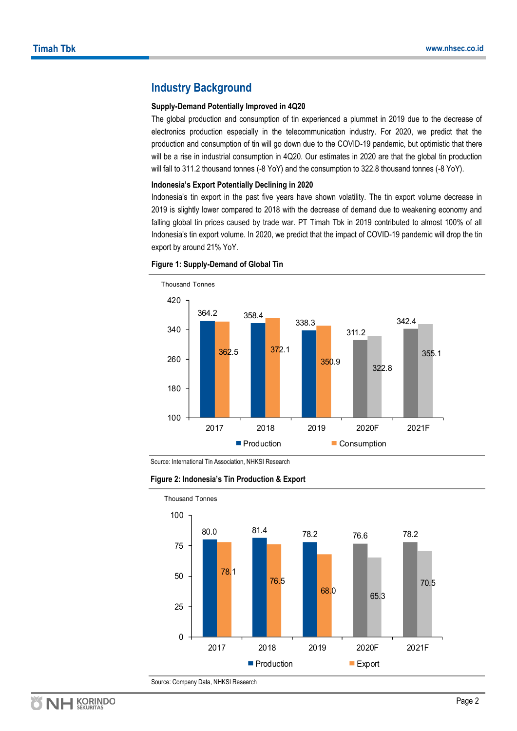### **Industry Background**

### **Supply-Demand Potentially Improved in 4Q20**

The global production and consumption of tin experienced a plummet in 2019 due to the decrease of electronics production especially in the telecommunication industry. For 2020, we predict that the production and consumption of tin will go down due to the COVID-19 pandemic, but optimistic that there will be a rise in industrial consumption in 4Q20. Our estimates in 2020 are that the global tin production will fall to 311.2 thousand tonnes (-8 YoY) and the consumption to 322.8 thousand tonnes (-8 YoY).

### **Indonesia's Export Potentially Declining in 2020**

Indonesia's tin export in the past five years have shown volatility. The tin export volume decrease in 2019 is slightly lower compared to 2018 with the decrease of demand due to weakening economy and falling global tin prices caused by trade war. PT Timah Tbk in 2019 contributed to almost 100% of all Indonesia's tin export volume. In 2020, we predict that the impact of COVID-19 pandemic will drop the tin export by around 21% YoY.



#### **Figure 1: Supply-Demand of Global Tin**

Source: International Tin Association, NHKSI Research



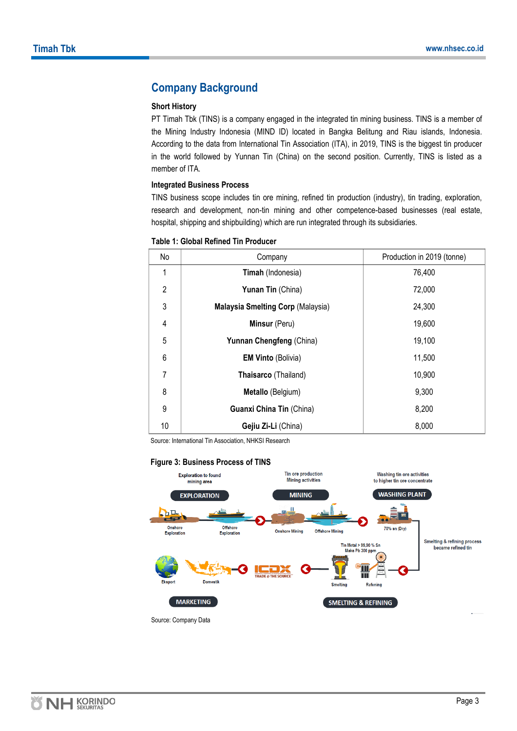### **Company Background**

### **Short History**

PT Timah Tbk (TINS) is a company engaged in the integrated tin mining business. TINS is a member of the Mining Industry Indonesia (MIND ID) located in Bangka Belitung and Riau islands, Indonesia. According to the data from International Tin Association (ITA), in 2019, TINS is the biggest tin producer in the world followed by Yunnan Tin (China) on the second position. Currently, TINS is listed as a member of ITA.

### **Integrated Business Process**

TINS business scope includes tin ore mining, refined tin production (industry), tin trading, exploration, research and development, non-tin mining and other competence-based businesses (real estate, hospital, shipping and shipbuilding) which are run integrated through its subsidiaries.

| No             | Company                                  | Production in 2019 (tonne) |
|----------------|------------------------------------------|----------------------------|
| 1              | Timah (Indonesia)                        | 76,400                     |
| $\overline{2}$ | Yunan Tin (China)                        | 72,000                     |
| 3              | <b>Malaysia Smelting Corp (Malaysia)</b> | 24,300                     |
| 4              | Minsur (Peru)                            | 19,600                     |
| 5              | Yunnan Chengfeng (China)                 | 19,100                     |
| 6              | <b>EM Vinto (Bolivia)</b>                | 11,500                     |
| 7              | Thaisarco (Thailand)                     | 10,900                     |
| 8              | Metallo (Belgium)                        | 9,300                      |
| 9              | Guanxi China Tin (China)                 | 8,200                      |
| 10             | Gejiu Zi-Li (China)                      | 8,000                      |

### **Table 1: Global Refined Tin Producer**

Source: International Tin Association, NHKSI Research

### **Figure 3: Business Process of TINS**



Source: Company Data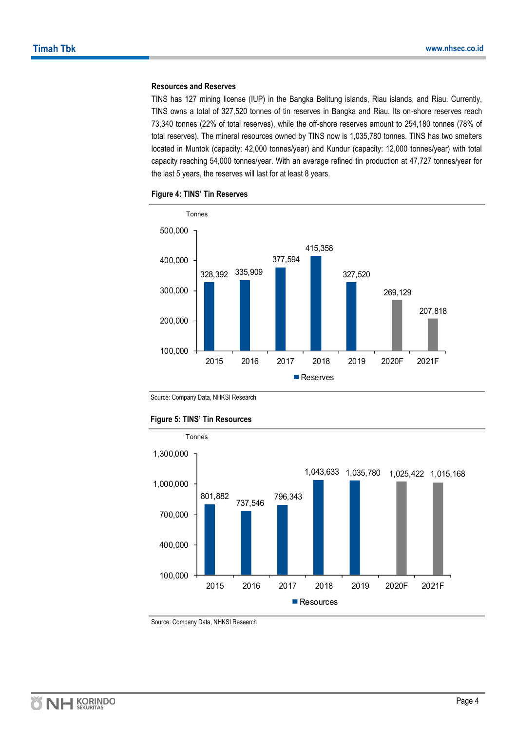### **Resources and Reserves**

TINS has 127 mining license (IUP) in the Bangka Belitung islands, Riau islands, and Riau. Currently, TINS owns a total of 327,520 tonnes of tin reserves in Bangka and Riau. Its on-shore reserves reach 73,340 tonnes (22% of total reserves), while the off-shore reserves amount to 254,180 tonnes (78% of total reserves). The mineral resources owned by TINS now is 1,035,780 tonnes. TINS has two smelters located in Muntok (capacity: 42,000 tonnes/year) and Kundur (capacity: 12,000 tonnes/year) with total capacity reaching 54,000 tonnes/year. With an average refined tin production at 47,727 tonnes/year for the last 5 years, the reserves will last for at least 8 years.



### **Figure 4: TINS' Tin Reserves**

Source: Company Data, NHKSI Research



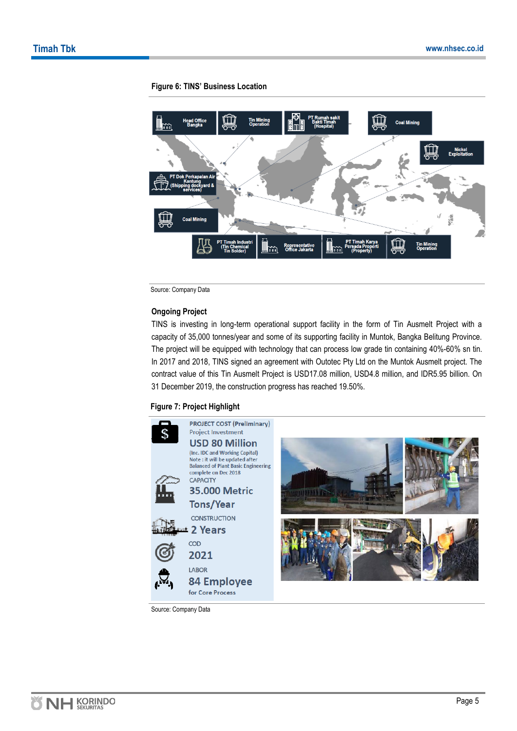

### **Figure 6: TINS' Business Location**

Source: Company Data

### **Ongoing Project**

TINS is investing in long-term operational support facility in the form of Tin Ausmelt Project with a capacity of 35,000 tonnes/year and some of its supporting facility in Muntok, Bangka Belitung Province. The project will be equipped with technology that can process low grade tin containing 40%-60% sn tin. In 2017 and 2018, TINS signed an agreement with Outotec Pty Ltd on the Muntok Ausmelt project. The contract value of this Tin Ausmelt Project is USD17.08 million, USD4.8 million, and IDR5.95 billion. On 31 December 2019, the construction progress has reached 19.50%.

### **Figure 7: Project Highlight**



Source: Company Data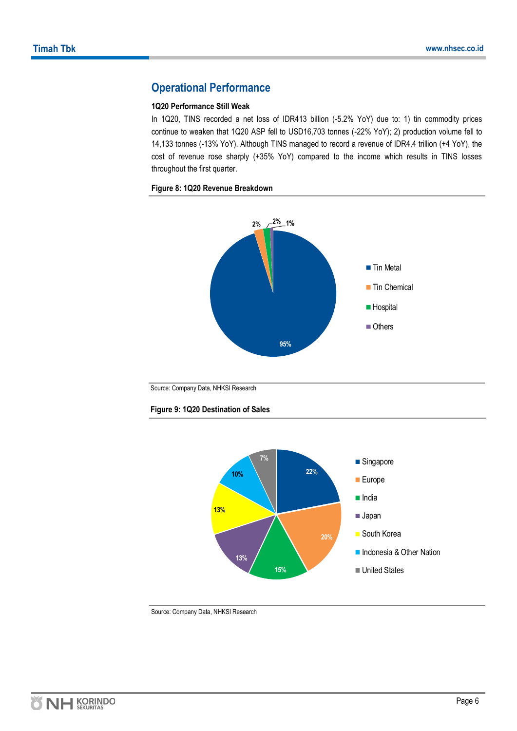### **Operational Performance**

### **1Q20 Performance Still Weak**

In 1Q20, TINS recorded a net loss of IDR413 billion (-5.2% YoY) due to: 1) tin commodity prices continue to weaken that 1Q20 ASP fell to USD16,703 tonnes (-22% YoY); 2) production volume fell to 14,133 tonnes (-13% YoY). Although TINS managed to record a revenue of IDR4.4 trillion (+4 YoY), the cost of revenue rose sharply (+35% YoY) compared to the income which results in TINS losses throughout the first quarter.

### **Figure 8: 1Q20 Revenue Breakdown**



Source: Company Data, NHKSI Research



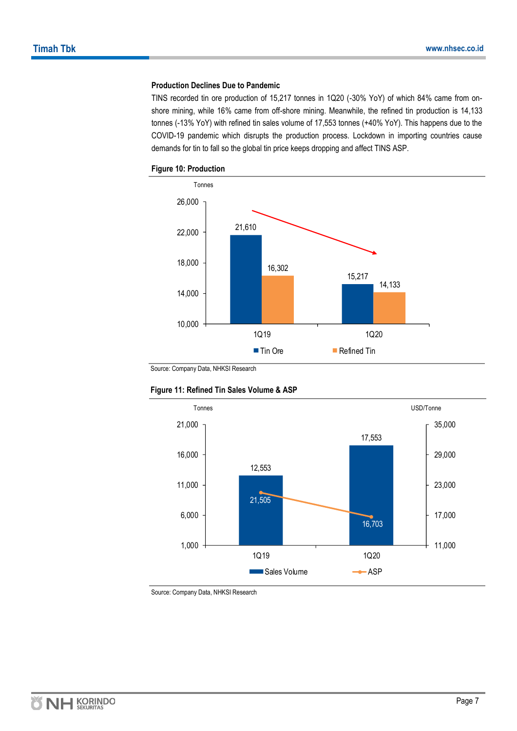### **Production Declines Due to Pandemic**

TINS recorded tin ore production of 15,217 tonnes in 1Q20 (-30% YoY) of which 84% came from onshore mining, while 16% came from off-shore mining. Meanwhile, the refined tin production is 14,133 tonnes (-13% YoY) with refined tin sales volume of 17,553 tonnes (+40% YoY). This happens due to the COVID-19 pandemic which disrupts the production process. Lockdown in importing countries cause demands for tin to fall so the global tin price keeps dropping and affect TINS ASP.





Source: Company Data, NHKSI Research



### **Figure 11: Refined Tin Sales Volume & ASP**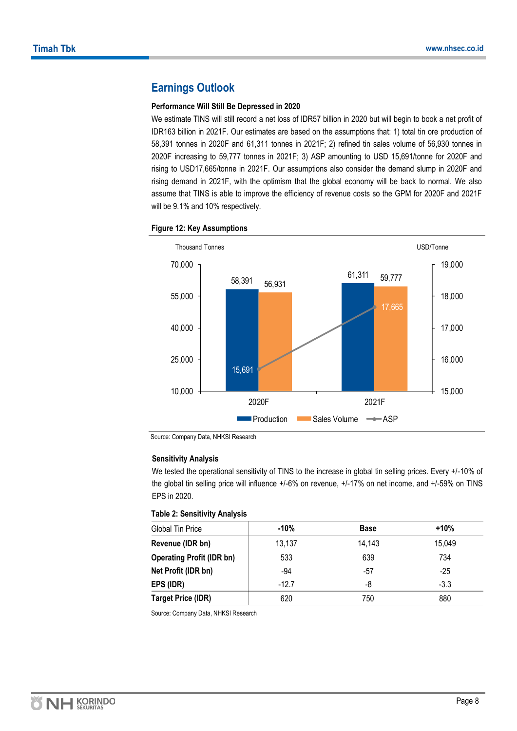### **Earnings Outlook**

### **Performance Will Still Be Depressed in 2020**

We estimate TINS will still record a net loss of IDR57 billion in 2020 but will begin to book a net profit of IDR163 billion in 2021F. Our estimates are based on the assumptions that: 1) total tin ore production of 58,391 tonnes in 2020F and 61,311 tonnes in 2021F; 2) refined tin sales volume of 56,930 tonnes in 2020F increasing to 59,777 tonnes in 2021F; 3) ASP amounting to USD 15,691/tonne for 2020F and rising to USD17,665/tonne in 2021F. Our assumptions also consider the demand slump in 2020F and rising demand in 2021F, with the optimism that the global economy will be back to normal. We also assume that TINS is able to improve the efficiency of revenue costs so the GPM for 2020F and 2021F will be 9.1% and 10% respectively.



### **Figure 12: Key Assumptions**

Source: Company Data, NHKSI Research

### **Sensitivity Analysis**

We tested the operational sensitivity of TINS to the increase in global tin selling prices. Every +/-10% of the global tin selling price will influence +/-6% on revenue, +/-17% on net income, and +/-59% on TINS EPS in 2020.

### **Table 2: Sensitivity Analysis**

| <b>Global Tin Price</b>          | -10%    | <b>Base</b> | $+10%$ |
|----------------------------------|---------|-------------|--------|
| Revenue (IDR bn)                 | 13,137  | 14,143      | 15,049 |
| <b>Operating Profit (IDR bn)</b> | 533     | 639         | 734    |
| Net Profit (IDR bn)              | $-94$   | -57         | $-25$  |
| EPS (IDR)                        | $-12.7$ | -8          | $-3.3$ |
| <b>Target Price (IDR)</b>        | 620     | 750         | 880    |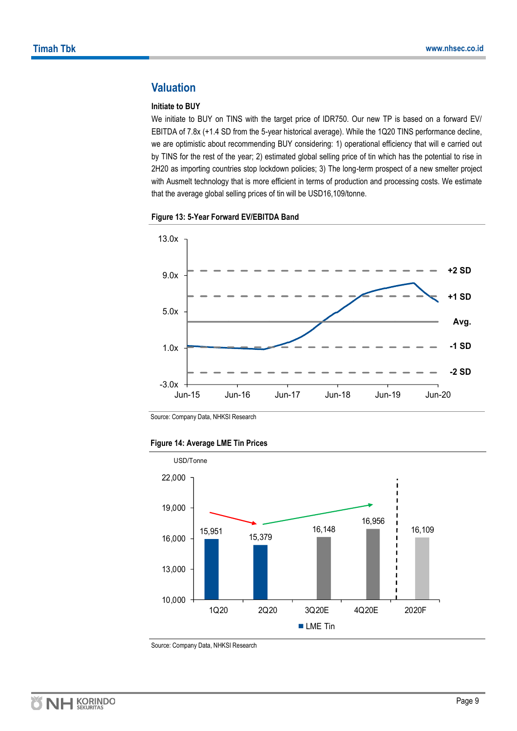### **Valuation**

### **Initiate to BUY**

We initiate to BUY on TINS with the target price of IDR750. Our new TP is based on a forward EV/ EBITDA of 7.8x (+1.4 SD from the 5-year historical average). While the 1Q20 TINS performance decline, we are optimistic about recommending BUY considering: 1) operational efficiency that will e carried out by TINS for the rest of the year; 2) estimated global selling price of tin which has the potential to rise in 2H20 as importing countries stop lockdown policies; 3) The long-term prospect of a new smelter project with Ausmelt technology that is more efficient in terms of production and processing costs. We estimate that the average global selling prices of tin will be USD16,109/tonne.





Source: Company Data, NHKSI Research

### **Figure 14: Average LME Tin Prices**

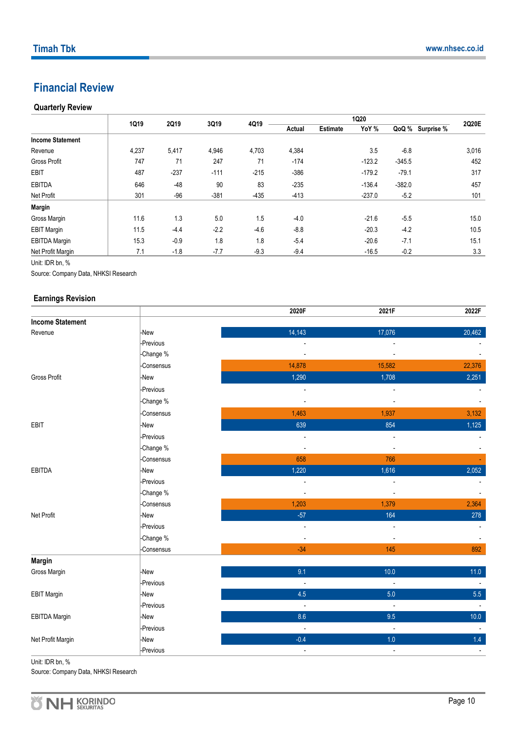### **Financial Review**

### **Quarterly Review**

|                         | 1Q19  | 2Q19   | 3Q19   | 4Q19   | <b>1Q20</b> |                 |          |          |                  | 2Q20E |
|-------------------------|-------|--------|--------|--------|-------------|-----------------|----------|----------|------------------|-------|
|                         |       |        |        |        | Actual      | <b>Estimate</b> | YoY %    |          | QoQ % Surprise % |       |
| <b>Income Statement</b> |       |        |        |        |             |                 |          |          |                  |       |
| Revenue                 | 4,237 | 5,417  | 4,946  | 4,703  | 4,384       |                 | 3.5      | $-6.8$   |                  | 3,016 |
| <b>Gross Profit</b>     | 747   | 71     | 247    | 71     | $-174$      |                 | $-123.2$ | $-345.5$ |                  | 452   |
| <b>EBIT</b>             | 487   | $-237$ | $-111$ | $-215$ | $-386$      |                 | $-179.2$ | $-79.1$  |                  | 317   |
| <b>EBITDA</b>           | 646   | $-48$  | 90     | 83     | $-235$      |                 | $-136.4$ | $-382.0$ |                  | 457   |
| Net Profit              | 301   | $-96$  | $-381$ | $-435$ | $-413$      |                 | $-237.0$ | $-5.2$   |                  | 101   |
| <b>Margin</b>           |       |        |        |        |             |                 |          |          |                  |       |
| Gross Margin            | 11.6  | 1.3    | 5.0    | 1.5    | $-4.0$      |                 | $-21.6$  | $-5.5$   |                  | 15.0  |
| <b>EBIT Margin</b>      | 11.5  | $-4.4$ | $-2.2$ | $-4.6$ | $-8.8$      |                 | $-20.3$  | $-4.2$   |                  | 10.5  |
| <b>EBITDA Margin</b>    | 15.3  | $-0.9$ | 1.8    | 1.8    | $-5.4$      |                 | $-20.6$  | $-7.1$   |                  | 15.1  |
| Net Profit Margin       | 7.1   | $-1.8$ | $-7.7$ | $-9.3$ | $-9.4$      |                 | $-16.5$  | $-0.2$   |                  | 3.3   |

Unit: IDR bn, %

Source: Company Data, NHKSI Research

### **Earnings Revision**

|                         |            | 2020F                    | 2021F                    | 2022F  |
|-------------------------|------------|--------------------------|--------------------------|--------|
| <b>Income Statement</b> |            |                          |                          |        |
| Revenue                 | -New       | 14,143                   | 17,076                   | 20,462 |
|                         | -Previous  |                          |                          |        |
|                         | -Change %  | $\blacksquare$           | $\blacksquare$           |        |
|                         | Consensus  | 14,878                   | 15,582                   | 22,376 |
| <b>Gross Profit</b>     | -New       | 1,290                    | 1,708                    | 2,251  |
|                         | -Previous  |                          |                          |        |
|                         | -Change %  | $\blacksquare$           | $\overline{\phantom{a}}$ |        |
|                         | Consensus  | 1,463                    | 1,937                    | 3,132  |
| EBIT                    | -New       | 639                      | 854                      | 1,125  |
|                         | -Previous  | $\blacksquare$           | $\overline{\phantom{a}}$ |        |
|                         | -Change %  | $\blacksquare$           | $\overline{\phantom{a}}$ |        |
|                         | -Consensus | 658                      | 766                      |        |
| <b>EBITDA</b>           | -New       | 1,220                    | 1,616                    | 2,052  |
|                         | -Previous  | $\overline{\phantom{a}}$ | $\overline{\phantom{a}}$ |        |
|                         | -Change %  | $\blacksquare$           | $\blacksquare$           |        |
|                         | Consensus  | 1,203                    | 1,379                    | 2,364  |
| Net Profit              | -New       | $-57$                    | 164                      | 278    |
|                         | -Previous  | $\overline{\phantom{a}}$ | $\overline{a}$           |        |
|                         | -Change %  | $\overline{a}$           | $\overline{\phantom{a}}$ |        |
|                         | -Consensus | $-34$                    | 145                      | 892    |
| Margin                  |            |                          |                          |        |
| Gross Margin            | -New       | 9.1                      | 10.0                     | 11.0   |
|                         | -Previous  |                          | $\overline{\phantom{a}}$ |        |
| <b>EBIT Margin</b>      | -New       | 4.5                      | 5.0                      | 5.5    |
|                         | -Previous  | $\blacksquare$           | $\overline{\phantom{a}}$ | $\sim$ |
| <b>EBITDA Margin</b>    | -New       | 8.6                      | 9.5                      | 10.0   |
|                         | -Previous  | $\overline{\phantom{a}}$ | $\overline{\phantom{a}}$ |        |
| Net Profit Margin       | -New       | $-0.4$                   | 1.0                      | 1.4    |
|                         | -Previous  | $\overline{\phantom{a}}$ | $\overline{\phantom{a}}$ |        |

Unit: IDR bn, %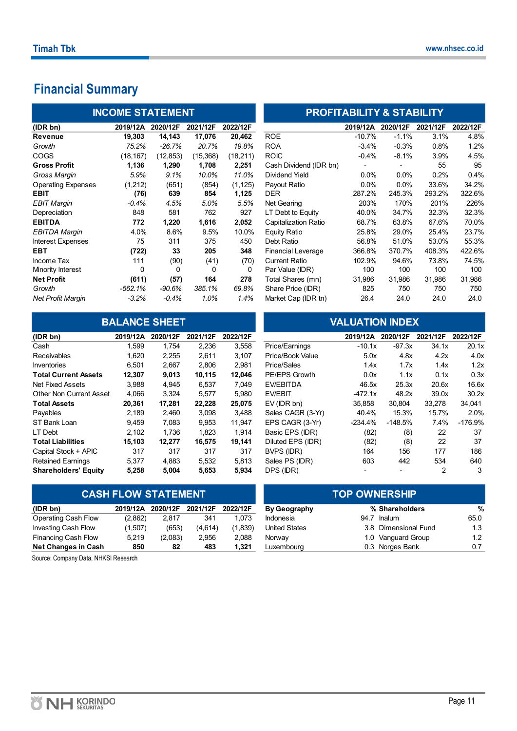# **Financial Summary**

|                           | <b>INCOME STATEMENT</b> |           |          |          | <b>PROFITABILITY &amp; STABILITY</b> |          |          |          |          |
|---------------------------|-------------------------|-----------|----------|----------|--------------------------------------|----------|----------|----------|----------|
| (IDR bn)                  | 2019/12A                | 2020/12F  | 2021/12F | 2022/12F |                                      | 2019/12A | 2020/12F | 2021/12F | 2022/12F |
| Revenue                   | 19.303                  | 14,143    | 17,076   | 20,462   | <b>ROE</b>                           | $-10.7%$ | $-1.1%$  | 3.1%     | 4.8%     |
| Growth                    | 75.2%                   | $-26.7\%$ | 20.7%    | 19.8%    | <b>ROA</b>                           | $-3.4%$  | $-0.3%$  | 0.8%     | 1.2%     |
| <b>COGS</b>               | (18, 167)               | (12, 853) | (15,368) | (18,211) | <b>ROIC</b>                          | $-0.4%$  | $-8.1%$  | 3.9%     | 4.5%     |
| <b>Gross Profit</b>       | 1,136                   | 1,290     | 1,708    | 2,251    | Cash Dividend (IDR bn)               | ۰        |          | 55       | 95       |
| Gross Margin              | 5.9%                    | 9.1%      | 10.0%    | 11.0%    | <b>Dividend Yield</b>                | $0.0\%$  | $0.0\%$  | 0.2%     | 0.4%     |
| <b>Operating Expenses</b> | (1,212)                 | (651)     | (854)    | (1, 125) | Payout Ratio                         | 0.0%     | $0.0\%$  | 33.6%    | 34.2%    |
| <b>EBIT</b>               | (76)                    | 639       | 854      | 1,125    | DER.                                 | 287.2%   | 245.3%   | 293.2%   | 322.6%   |
| <b>EBIT Margin</b>        | $-0.4\%$                | 4.5%      | 5.0%     | 5.5%     | Net Gearing                          | 203%     | 170%     | 201%     | 226%     |
| Depreciation              | 848                     | 581       | 762      | 927      | LT Debt to Equity                    | 40.0%    | 34.7%    | 32.3%    | 32.3%    |
| <b>EBITDA</b>             | 772                     | 1,220     | 1,616    | 2,052    | <b>Capitalization Ratio</b>          | 68.7%    | 63.8%    | 67.6%    | 70.0%    |
| <b>EBITDA Margin</b>      | 4.0%                    | 8.6%      | 9.5%     | 10.0%    | <b>Equity Ratio</b>                  | 25.8%    | 29.0%    | 25.4%    | 23.7%    |
| Interest Expenses         | 75                      | 311       | 375      | 450      | Debt Ratio                           | 56.8%    | 51.0%    | 53.0%    | 55.3%    |
| <b>EBT</b>                | (722)                   | 33        | 205      | 348      | <b>Financial Leverage</b>            | 366.8%   | 370.7%   | 408.3%   | 422.6%   |
| Income Tax                | 111                     | (90)      | (41)     | (70)     | <b>Current Ratio</b>                 | 102.9%   | 94.6%    | 73.8%    | 74.5%    |
| Minority Interest         | $\mathbf{0}$            | 0         | $\Omega$ | 0        | Par Value (IDR)                      | 100      | 100      | 100      | 100      |
| <b>Net Profit</b>         | (611)                   | (57)      | 164      | 278      | Total Shares (mn)                    | 31,986   | 31,986   | 31,986   | 31,986   |
| Growth                    | $-562.1%$               | $-90.6%$  | 385.1%   | 69.8%    | Share Price (IDR)                    | 825      | 750      | 750      | 750      |
| <b>Net Profit Margin</b>  | $-3.2%$                 | $-0.4\%$  | 1.0%     | 1.4%     | Market Cap (IDR tn)                  | 26.4     | 24.0     | 24.0     | 24.0     |

|                             |          | <b>BALANCE SHEET</b> |          |          |                   | <b>VALUATION INDEX</b> |           |          |           |
|-----------------------------|----------|----------------------|----------|----------|-------------------|------------------------|-----------|----------|-----------|
| (IDR bn)                    | 2019/12A | 2020/12F             | 2021/12F | 2022/12F |                   | 2019/12A               | 2020/12F  | 2021/12F | 2022/12F  |
| Cash                        | 1.599    | 1.754                | 2,236    | 3,558    | Price/Earnings    | $-10.1x$               | $-97.3x$  | 34.1x    | 20.1x     |
| <b>Receivables</b>          | 1,620    | 2,255                | 2,611    | 3,107    | Price/Book Value  | 5.0x                   | 4.8x      | 4.2x     | 4.0x      |
| Inventories                 | 6,501    | 2,667                | 2,806    | 2,981    | Price/Sales       | 1.4x                   | 1.7x      | 1.4x     | 1.2x      |
| <b>Total Current Assets</b> | 12,307   | 9,013                | 10.115   | 12,046   | PE/EPS Growth     | 0.0x                   | 1.1x      | 0.1x     | 0.3x      |
| Net Fixed Assets            | 3,988    | 4,945                | 6,537    | 7,049    | <b>EV/EBITDA</b>  | 46.5x                  | 25.3x     | 20.6x    | 16.6x     |
| Other Non Current Asset     | 4,066    | 3,324                | 5,577    | 5,980    | <b>EV/EBIT</b>    | $-472.1x$              | 48.2x     | 39.0x    | 30.2x     |
| <b>Total Assets</b>         | 20,361   | 17,281               | 22,228   | 25,075   | $EV$ (IDR bn)     | 35.858                 | 30,804    | 33,278   | 34,041    |
| Payables                    | 2,189    | 2,460                | 3,098    | 3,488    | Sales CAGR (3-Yr) | 40.4%                  | 15.3%     | 15.7%    | 2.0%      |
| ST Bank Loan                | 9,459    | 7,083                | 9,953    | 11,947   | EPS CAGR (3-Yr)   | $-234.4%$              | $-148.5%$ | 7.4%     | $-176.9%$ |
| LT Debt                     | 2.102    | 1.736                | 1,823    | 1,914    | Basic EPS (IDR)   | (82)                   | (8)       | 22       | 37        |
| <b>Total Liabilities</b>    | 15,103   | 12,277               | 16,575   | 19,141   | Diluted EPS (IDR) | (82)                   | (8)       | 22       | 37        |
| Capital Stock + APIC        | 317      | 317                  | 317      | 317      | BVPS (IDR)        | 164                    | 156       | 177      | 186       |
| <b>Retained Earnings</b>    | 5,377    | 4.883                | 5,532    | 5,813    | Sales PS (IDR)    | 603                    | 442       | 534      | 640       |
| <b>Shareholders' Equity</b> | 5,258    | 5,004                | 5,653    | 5,934    | DPS (IDR)         |                        |           | 2        | 3         |

|                            | <b>CASH FLOW STATEMENT</b> |          |          |          |                      | <b>TOP OWNERSHIP</b> |                      |      |
|----------------------------|----------------------------|----------|----------|----------|----------------------|----------------------|----------------------|------|
| (IDR bn)                   | 2019/12A                   | 2020/12F | 2021/12F | 2022/12F | <b>By Geography</b>  |                      | % Shareholders       | %    |
| Operating Cash Flow        | (2,862)                    | 2.817    | 341      | 1.073    | <b>Indonesia</b>     | 94.                  | Inalum               | 65.0 |
| Investing Cash Flow        | (1,507)                    | (653)    | (4,614)  | (1,839)  | <b>United States</b> |                      | 3.8 Dimensional Fund | 1.3  |
| Financing Cash Flow        | 5.219                      | (2,083)  | 2,956    | 2.088    | Norway               |                      | 1.0 Vanguard Group   | 1.2  |
| <b>Net Changes in Cash</b> | 850                        | 82       | 483      | 1.321    | Luxembourg           |                      | 0.3 Norges Bank      | 0.7  |

Source: Company Data, NHKSI Research

| <b>INCOME STATEMENT</b> |           |           |          |                           | <b>PROFITABILITY &amp; STABILITY</b> |          |          |          |
|-------------------------|-----------|-----------|----------|---------------------------|--------------------------------------|----------|----------|----------|
| 2019/12A                | 2020/12F  | 2021/12F  | 2022/12F |                           | 2019/12A                             | 2020/12F | 2021/12F | 2022/12F |
| 19,303                  | 14,143    | 17,076    | 20,462   | <b>ROE</b>                | $-10.7%$                             | $-1.1%$  | 3.1%     | 4.8%     |
| 75.2%                   | -26.7%    | 20.7%     | 19.8%    | <b>ROA</b>                | $-3.4\%$                             | $-0.3%$  | 0.8%     | 1.2%     |
| (18, 167)               | (12, 853) | (15, 368) | (18,211) | <b>ROIC</b>               | $-0.4%$                              | $-8.1%$  | 3.9%     | 4.5%     |
| 1,136                   | 1,290     | 1,708     | 2,251    | Cash Dividend (IDR bn)    | ۰                                    |          | 55       | 95       |
| 5.9%                    | 9.1%      | 10.0%     | 11.0%    | Dividend Yield            | $0.0\%$                              | 0.0%     | 0.2%     | 0.4%     |
| (1,212)                 | (651)     | (854)     | (1, 125) | Payout Ratio              | $0.0\%$                              | 0.0%     | 33.6%    | 34.2%    |
| (76)                    | 639       | 854       | 1,125    | <b>DER</b>                | 287.2%                               | 245.3%   | 293.2%   | 322.6%   |
| $-0.4%$                 | 4.5%      | 5.0%      | 5.5%     | Net Gearing               | 203%                                 | 170%     | 201%     | 226%     |
| 848                     | 581       | 762       | 927      | LT Debt to Equity         | 40.0%                                | 34.7%    | 32.3%    | 32.3%    |
| 772                     | 1,220     | 1,616     | 2,052    | Capitalization Ratio      | 68.7%                                | 63.8%    | 67.6%    | 70.0%    |
| 4.0%                    | 8.6%      | 9.5%      | 10.0%    | Equity Ratio              | 25.8%                                | 29.0%    | 25.4%    | 23.7%    |
| 75                      | 311       | 375       | 450      | Debt Ratio                | 56.8%                                | 51.0%    | 53.0%    | 55.3%    |
| (722)                   | 33        | 205       | 348      | <b>Financial Leverage</b> | 366.8%                               | 370.7%   | 408.3%   | 422.6%   |
| 111                     | (90)      | (41)      | (70)     | <b>Current Ratio</b>      | 102.9%                               | 94.6%    | 73.8%    | 74.5%    |
| 0                       | 0         | 0         | 0        | Par Value (IDR)           | 100                                  | 100      | 100      | 100      |
| (611)                   | (57)      | 164       | 278      | Total Shares (mn)         | 31,986                               | 31,986   | 31,986   | 31,986   |
| $-562.1%$               | -90.6%    | 385.1%    | 69.8%    | Share Price (IDR)         | 825                                  | 750      | 750      | 750      |
| $-3.2%$                 | $-0.4\%$  | 1.0%      | 1.4%     | Market Cap (IDR tn)       | 26.4                                 | 24.0     | 24.0     | 24.0     |

## **(IDR bn) 2019/12A 2020/12F 2021/12F 2022/12F 2019/12A 2020/12F 2021/12F 2022/12F** Price/Earnings -10.1x -97.3x 34.1x 20.1x Price/Book Value 5.0x 4.8x 4.2x 4.0x **THE/EPS Growth**  $0.0x$  **1.1x**  $0.1x$  **0.3x** Payables 2,189 2,460 3,098 3,488 Sales CAGR (3-Yr) 40.4% 15.3% 15.7% 2.0% EPS CAGR (3-Yr) -234.4% -148.5% 7.4% -176.9% Basic EPS (IDR) (82) (8) 22 37 **Total Liabilities 15,103 12,277 16,575 19,141** Diluted EPS (IDR) (82) (8) 22 37 Sales PS (IDR) 603 442 534 640 **BALUATION INDEX**

| <b>TOP OWNERSHIP</b> |  |                      |      |  |  |  |
|----------------------|--|----------------------|------|--|--|--|
| <b>By Geography</b>  |  | % Shareholders       | %    |  |  |  |
| Indonesia            |  | 94.7 Inalum          | 65.0 |  |  |  |
| <b>United States</b> |  | 3.8 Dimensional Fund | 1.3  |  |  |  |
| Norway               |  | 1.0 Vanguard Group   | 1.2  |  |  |  |
| Luxembourg           |  | 0.3 Norges Bank      | 0.7  |  |  |  |